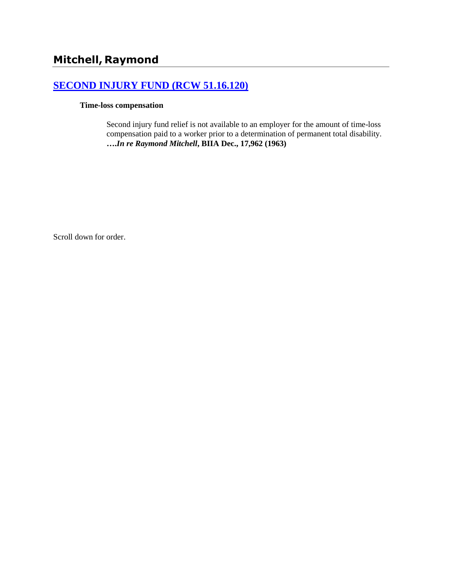# **[SECOND INJURY FUND \(RCW 51.16.120\)](http://www.biia.wa.gov/SDSubjectIndex.html#SECOND_INJURY_FUND)**

#### **Time-loss compensation**

Second injury fund relief is not available to an employer for the amount of time-loss compensation paid to a worker prior to a determination of permanent total disability. **….***In re Raymond Mitchell***, BIIA Dec., 17,962 (1963)**

Scroll down for order.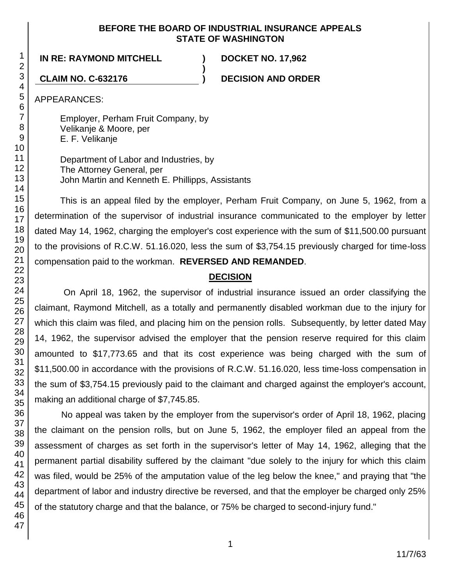#### **BEFORE THE BOARD OF INDUSTRIAL INSURANCE APPEALS STATE OF WASHINGTON**

**)**

# **IN RE: RAYMOND MITCHELL ) DOCKET NO. 17,962**

**CLAIM NO. C-632176 ) DECISION AND ORDER**

APPEARANCES:

Employer, Perham Fruit Company, by Velikanje & Moore, per E. F. Velikanje

Department of Labor and Industries, by The Attorney General, per John Martin and Kenneth E. Phillipps, Assistants

This is an appeal filed by the employer, Perham Fruit Company, on June 5, 1962, from a determination of the supervisor of industrial insurance communicated to the employer by letter dated May 14, 1962, charging the employer's cost experience with the sum of \$11,500.00 pursuant to the provisions of R.C.W. 51.16.020, less the sum of \$3,754.15 previously charged for time-loss compensation paid to the workman. **REVERSED AND REMANDED**.

### **DECISION**

On April 18, 1962, the supervisor of industrial insurance issued an order classifying the claimant, Raymond Mitchell, as a totally and permanently disabled workman due to the injury for which this claim was filed, and placing him on the pension rolls. Subsequently, by letter dated May 14, 1962, the supervisor advised the employer that the pension reserve required for this claim amounted to \$17,773.65 and that its cost experience was being charged with the sum of \$11,500.00 in accordance with the provisions of R.C.W. 51.16.020, less time-loss compensation in the sum of \$3,754.15 previously paid to the claimant and charged against the employer's account, making an additional charge of \$7,745.85.

No appeal was taken by the employer from the supervisor's order of April 18, 1962, placing the claimant on the pension rolls, but on June 5, 1962, the employer filed an appeal from the assessment of charges as set forth in the supervisor's letter of May 14, 1962, alleging that the permanent partial disability suffered by the claimant "due solely to the injury for which this claim was filed, would be 25% of the amputation value of the leg below the knee," and praying that "the department of labor and industry directive be reversed, and that the employer be charged only 25% of the statutory charge and that the balance, or 75% be charged to second-injury fund."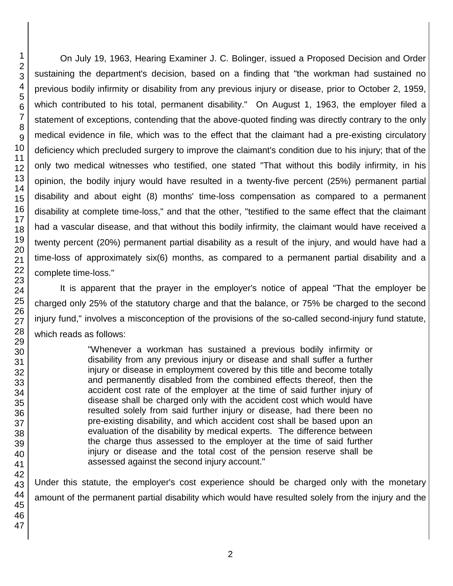On July 19, 1963, Hearing Examiner J. C. Bolinger, issued a Proposed Decision and Order sustaining the department's decision, based on a finding that "the workman had sustained no previous bodily infirmity or disability from any previous injury or disease, prior to October 2, 1959, which contributed to his total, permanent disability." On August 1, 1963, the employer filed a statement of exceptions, contending that the above-quoted finding was directly contrary to the only medical evidence in file, which was to the effect that the claimant had a pre-existing circulatory deficiency which precluded surgery to improve the claimant's condition due to his injury; that of the only two medical witnesses who testified, one stated "That without this bodily infirmity, in his opinion, the bodily injury would have resulted in a twenty-five percent (25%) permanent partial disability and about eight (8) months' time-loss compensation as compared to a permanent disability at complete time-loss," and that the other, "testified to the same effect that the claimant had a vascular disease, and that without this bodily infirmity, the claimant would have received a twenty percent (20%) permanent partial disability as a result of the injury, and would have had a time-loss of approximately six(6) months, as compared to a permanent partial disability and a complete time-loss."

It is apparent that the prayer in the employer's notice of appeal "That the employer be charged only 25% of the statutory charge and that the balance, or 75% be charged to the second injury fund," involves a misconception of the provisions of the so-called second-injury fund statute, which reads as follows:

> "Whenever a workman has sustained a previous bodily infirmity or disability from any previous injury or disease and shall suffer a further injury or disease in employment covered by this title and become totally and permanently disabled from the combined effects thereof, then the accident cost rate of the employer at the time of said further injury of disease shall be charged only with the accident cost which would have resulted solely from said further injury or disease, had there been no pre-existing disability, and which accident cost shall be based upon an evaluation of the disability by medical experts. The difference between the charge thus assessed to the employer at the time of said further injury or disease and the total cost of the pension reserve shall be assessed against the second injury account."

Under this statute, the employer's cost experience should be charged only with the monetary amount of the permanent partial disability which would have resulted solely from the injury and the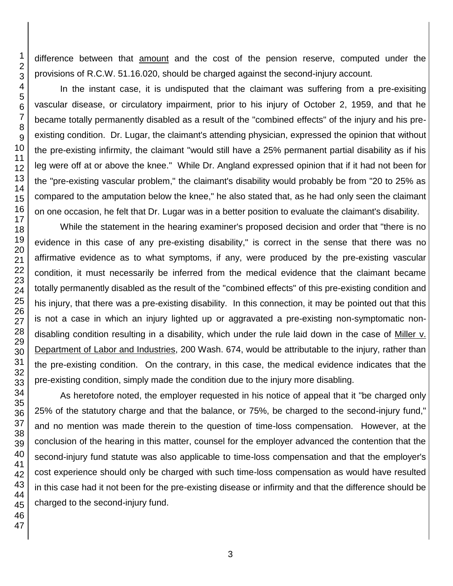difference between that amount and the cost of the pension reserve, computed under the provisions of R.C.W. 51.16.020, should be charged against the second-injury account.

In the instant case, it is undisputed that the claimant was suffering from a pre-exisiting vascular disease, or circulatory impairment, prior to his injury of October 2, 1959, and that he became totally permanently disabled as a result of the "combined effects" of the injury and his preexisting condition. Dr. Lugar, the claimant's attending physician, expressed the opinion that without the pre-existing infirmity, the claimant "would still have a 25% permanent partial disability as if his leg were off at or above the knee." While Dr. Angland expressed opinion that if it had not been for the "pre-existing vascular problem," the claimant's disability would probably be from "20 to 25% as compared to the amputation below the knee," he also stated that, as he had only seen the claimant on one occasion, he felt that Dr. Lugar was in a better position to evaluate the claimant's disability.

While the statement in the hearing examiner's proposed decision and order that "there is no evidence in this case of any pre-existing disability," is correct in the sense that there was no affirmative evidence as to what symptoms, if any, were produced by the pre-existing vascular condition, it must necessarily be inferred from the medical evidence that the claimant became totally permanently disabled as the result of the "combined effects" of this pre-existing condition and his injury, that there was a pre-existing disability. In this connection, it may be pointed out that this is not a case in which an injury lighted up or aggravated a pre-existing non-symptomatic nondisabling condition resulting in a disability, which under the rule laid down in the case of Miller v. Department of Labor and Industries, 200 Wash. 674, would be attributable to the injury, rather than the pre-existing condition. On the contrary, in this case, the medical evidence indicates that the pre-existing condition, simply made the condition due to the injury more disabling.

As heretofore noted, the employer requested in his notice of appeal that it "be charged only 25% of the statutory charge and that the balance, or 75%, be charged to the second-injury fund," and no mention was made therein to the question of time-loss compensation. However, at the conclusion of the hearing in this matter, counsel for the employer advanced the contention that the second-injury fund statute was also applicable to time-loss compensation and that the employer's cost experience should only be charged with such time-loss compensation as would have resulted in this case had it not been for the pre-existing disease or infirmity and that the difference should be charged to the second-injury fund.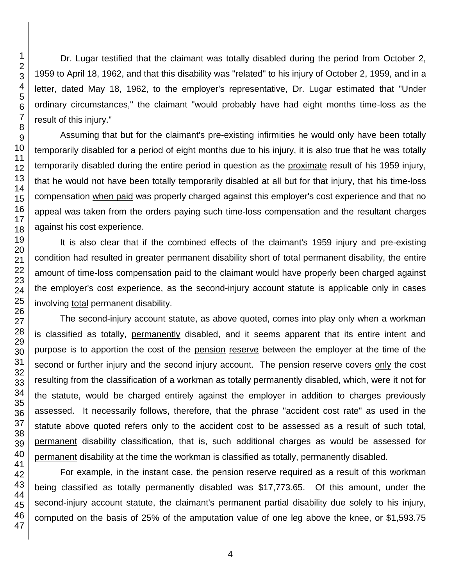Dr. Lugar testified that the claimant was totally disabled during the period from October 2, 1959 to April 18, 1962, and that this disability was "related" to his injury of October 2, 1959, and in a letter, dated May 18, 1962, to the employer's representative, Dr. Lugar estimated that "Under ordinary circumstances," the claimant "would probably have had eight months time-loss as the result of this injury."

Assuming that but for the claimant's pre-existing infirmities he would only have been totally temporarily disabled for a period of eight months due to his injury, it is also true that he was totally temporarily disabled during the entire period in question as the proximate result of his 1959 injury, that he would not have been totally temporarily disabled at all but for that injury, that his time-loss compensation when paid was properly charged against this employer's cost experience and that no appeal was taken from the orders paying such time-loss compensation and the resultant charges against his cost experience.

It is also clear that if the combined effects of the claimant's 1959 injury and pre-existing condition had resulted in greater permanent disability short of total permanent disability, the entire amount of time-loss compensation paid to the claimant would have properly been charged against the employer's cost experience, as the second-injury account statute is applicable only in cases involving total permanent disability.

The second-injury account statute, as above quoted, comes into play only when a workman is classified as totally, permanently disabled, and it seems apparent that its entire intent and purpose is to apportion the cost of the pension reserve between the employer at the time of the second or further injury and the second injury account. The pension reserve covers only the cost resulting from the classification of a workman as totally permanently disabled, which, were it not for the statute, would be charged entirely against the employer in addition to charges previously assessed. It necessarily follows, therefore, that the phrase "accident cost rate" as used in the statute above quoted refers only to the accident cost to be assessed as a result of such total, permanent disability classification, that is, such additional charges as would be assessed for permanent disability at the time the workman is classified as totally, permanently disabled.

For example, in the instant case, the pension reserve required as a result of this workman being classified as totally permanently disabled was \$17,773.65. Of this amount, under the second-injury account statute, the claimant's permanent partial disability due solely to his injury, computed on the basis of 25% of the amputation value of one leg above the knee, or \$1,593.75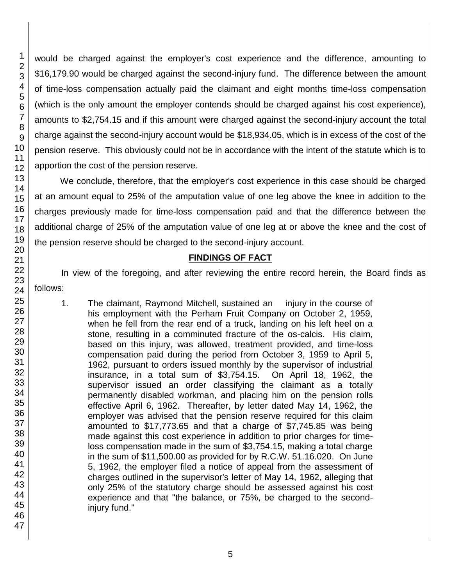would be charged against the employer's cost experience and the difference, amounting to \$16,179.90 would be charged against the second-injury fund. The difference between the amount of time-loss compensation actually paid the claimant and eight months time-loss compensation (which is the only amount the employer contends should be charged against his cost experience), amounts to \$2,754.15 and if this amount were charged against the second-injury account the total charge against the second-injury account would be \$18,934.05, which is in excess of the cost of the pension reserve. This obviously could not be in accordance with the intent of the statute which is to apportion the cost of the pension reserve.

We conclude, therefore, that the employer's cost experience in this case should be charged at an amount equal to 25% of the amputation value of one leg above the knee in addition to the charges previously made for time-loss compensation paid and that the difference between the additional charge of 25% of the amputation value of one leg at or above the knee and the cost of the pension reserve should be charged to the second-injury account.

#### **FINDINGS OF FACT**

In view of the foregoing, and after reviewing the entire record herein, the Board finds as follows:

1. The claimant, Raymond Mitchell, sustained an injury in the course of his employment with the Perham Fruit Company on October 2, 1959, when he fell from the rear end of a truck, landing on his left heel on a stone, resulting in a comminuted fracture of the os-calcis. His claim, based on this injury, was allowed, treatment provided, and time-loss compensation paid during the period from October 3, 1959 to April 5, 1962, pursuant to orders issued monthly by the supervisor of industrial insurance, in a total sum of \$3,754.15. On April 18, 1962, the supervisor issued an order classifying the claimant as a totally permanently disabled workman, and placing him on the pension rolls effective April 6, 1962. Thereafter, by letter dated May 14, 1962, the employer was advised that the pension reserve required for this claim amounted to \$17,773.65 and that a charge of \$7,745.85 was being made against this cost experience in addition to prior charges for timeloss compensation made in the sum of \$3,754.15, making a total charge in the sum of \$11,500.00 as provided for by R.C.W. 51.16.020. On June 5, 1962, the employer filed a notice of appeal from the assessment of charges outlined in the supervisor's letter of May 14, 1962, alleging that only 25% of the statutory charge should be assessed against his cost experience and that "the balance, or 75%, be charged to the secondinjury fund."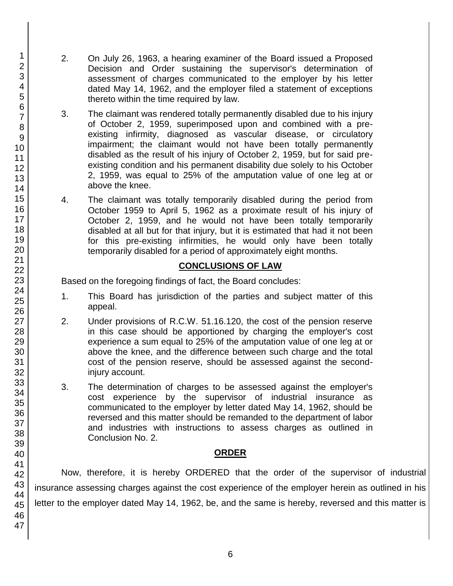- 2. On July 26, 1963, a hearing examiner of the Board issued a Proposed Decision and Order sustaining the supervisor's determination of assessment of charges communicated to the employer by his letter dated May 14, 1962, and the employer filed a statement of exceptions thereto within the time required by law.
- 3. The claimant was rendered totally permanently disabled due to his injury of October 2, 1959, superimposed upon and combined with a preexisting infirmity, diagnosed as vascular disease, or circulatory impairment; the claimant would not have been totally permanently disabled as the result of his injury of October 2, 1959, but for said preexisting condition and his permanent disability due solely to his October 2, 1959, was equal to 25% of the amputation value of one leg at or above the knee.
- 4. The claimant was totally temporarily disabled during the period from October 1959 to April 5, 1962 as a proximate result of his injury of October 2, 1959, and he would not have been totally temporarily disabled at all but for that injury, but it is estimated that had it not been for this pre-existing infirmities, he would only have been totally temporarily disabled for a period of approximately eight months.

# **CONCLUSIONS OF LAW**

Based on the foregoing findings of fact, the Board concludes:

- 1. This Board has jurisdiction of the parties and subject matter of this appeal.
- 2. Under provisions of R.C.W. 51.16.120, the cost of the pension reserve in this case should be apportioned by charging the employer's cost experience a sum equal to 25% of the amputation value of one leg at or above the knee, and the difference between such charge and the total cost of the pension reserve, should be assessed against the secondinjury account.
- 3. The determination of charges to be assessed against the employer's cost experience by the supervisor of industrial insurance as communicated to the employer by letter dated May 14, 1962, should be reversed and this matter should be remanded to the department of labor and industries with instructions to assess charges as outlined in Conclusion No. 2.

#### **ORDER**

Now, therefore, it is hereby ORDERED that the order of the supervisor of industrial insurance assessing charges against the cost experience of the employer herein as outlined in his letter to the employer dated May 14, 1962, be, and the same is hereby, reversed and this matter is

1